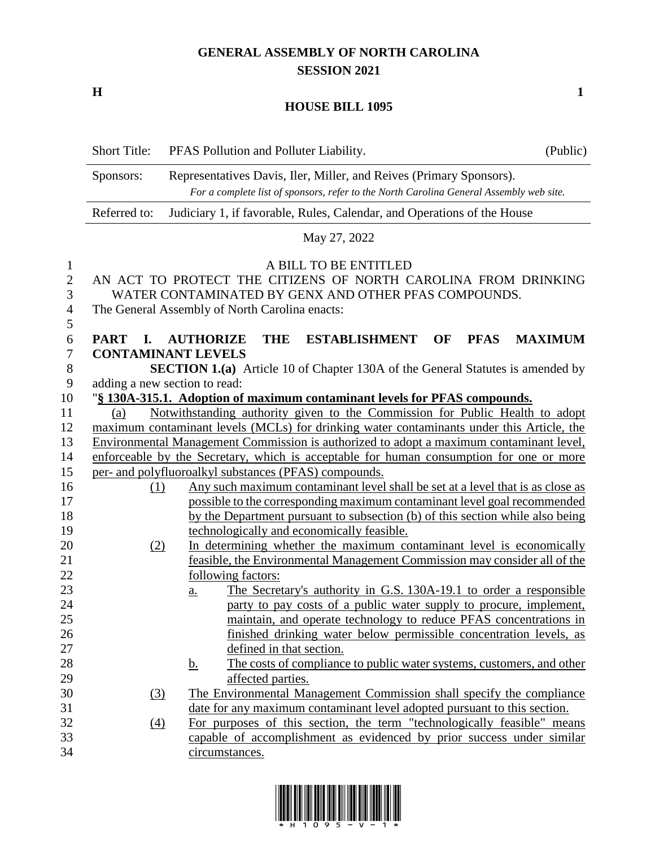## **GENERAL ASSEMBLY OF NORTH CAROLINA SESSION 2021**

**H 1**

### **HOUSE BILL 1095**

|                                                                        | <b>Short Title:</b>                                                                                                                                                         | PFAS Pollution and Polluter Liability.                                                                                                                                                            | (Public) |  |  |  |
|------------------------------------------------------------------------|-----------------------------------------------------------------------------------------------------------------------------------------------------------------------------|---------------------------------------------------------------------------------------------------------------------------------------------------------------------------------------------------|----------|--|--|--|
|                                                                        | Representatives Davis, Iler, Miller, and Reives (Primary Sponsors).<br>Sponsors:<br>For a complete list of sponsors, refer to the North Carolina General Assembly web site. |                                                                                                                                                                                                   |          |  |  |  |
|                                                                        | Referred to:<br>Judiciary 1, if favorable, Rules, Calendar, and Operations of the House                                                                                     |                                                                                                                                                                                                   |          |  |  |  |
|                                                                        |                                                                                                                                                                             | May 27, 2022                                                                                                                                                                                      |          |  |  |  |
| $\mathbf{1}$<br>$\overline{2}$<br>3<br>$\overline{4}$<br>$\mathfrak s$ |                                                                                                                                                                             | A BILL TO BE ENTITLED<br>AN ACT TO PROTECT THE CITIZENS OF NORTH CAROLINA FROM DRINKING<br>WATER CONTAMINATED BY GENX AND OTHER PFAS COMPOUNDS.<br>The General Assembly of North Carolina enacts: |          |  |  |  |
| 6                                                                      | <b>PART</b><br>I.                                                                                                                                                           | <b>AUTHORIZE</b><br><b>THE</b><br><b>ESTABLISHMENT</b><br>OF<br><b>MAXIMUM</b><br><b>PFAS</b>                                                                                                     |          |  |  |  |
| $\tau$<br>$8\,$                                                        |                                                                                                                                                                             | <b>CONTAMINANT LEVELS</b>                                                                                                                                                                         |          |  |  |  |
| 9                                                                      | <b>SECTION 1.(a)</b> Article 10 of Chapter 130A of the General Statutes is amended by<br>adding a new section to read:                                                      |                                                                                                                                                                                                   |          |  |  |  |
| 10                                                                     |                                                                                                                                                                             | "§ 130A-315.1. Adoption of maximum contaminant levels for PFAS compounds.                                                                                                                         |          |  |  |  |
| 11                                                                     | (a)                                                                                                                                                                         | Notwithstanding authority given to the Commission for Public Health to adopt                                                                                                                      |          |  |  |  |
| 12                                                                     |                                                                                                                                                                             | maximum contaminant levels (MCLs) for drinking water contaminants under this Article, the                                                                                                         |          |  |  |  |
| 13                                                                     |                                                                                                                                                                             | Environmental Management Commission is authorized to adopt a maximum contaminant level,                                                                                                           |          |  |  |  |
| 14                                                                     |                                                                                                                                                                             | enforceable by the Secretary, which is acceptable for human consumption for one or more                                                                                                           |          |  |  |  |
| 15                                                                     |                                                                                                                                                                             | per- and polyfluoroalkyl substances (PFAS) compounds.                                                                                                                                             |          |  |  |  |
| 16                                                                     | (1)                                                                                                                                                                         | Any such maximum contaminant level shall be set at a level that is as close as                                                                                                                    |          |  |  |  |
| 17                                                                     |                                                                                                                                                                             | possible to the corresponding maximum contaminant level goal recommended                                                                                                                          |          |  |  |  |
| 18                                                                     |                                                                                                                                                                             | by the Department pursuant to subsection (b) of this section while also being                                                                                                                     |          |  |  |  |
| 19                                                                     |                                                                                                                                                                             | technologically and economically feasible.                                                                                                                                                        |          |  |  |  |
| 20                                                                     | (2)                                                                                                                                                                         | In determining whether the maximum contaminant level is economically                                                                                                                              |          |  |  |  |
| 21                                                                     |                                                                                                                                                                             | feasible, the Environmental Management Commission may consider all of the                                                                                                                         |          |  |  |  |
| 22                                                                     |                                                                                                                                                                             | following factors:                                                                                                                                                                                |          |  |  |  |
| 23                                                                     |                                                                                                                                                                             | The Secretary's authority in G.S. 130A-19.1 to order a responsible<br><u>a.</u>                                                                                                                   |          |  |  |  |
| 24                                                                     |                                                                                                                                                                             | party to pay costs of a public water supply to procure, implement,                                                                                                                                |          |  |  |  |
| 25                                                                     |                                                                                                                                                                             | maintain, and operate technology to reduce PFAS concentrations in                                                                                                                                 |          |  |  |  |
| 26                                                                     |                                                                                                                                                                             | finished drinking water below permissible concentration levels, as                                                                                                                                |          |  |  |  |
| 27                                                                     |                                                                                                                                                                             | defined in that section.                                                                                                                                                                          |          |  |  |  |
| 28                                                                     |                                                                                                                                                                             | The costs of compliance to public water systems, customers, and other<br><u>b.</u>                                                                                                                |          |  |  |  |
| 29                                                                     |                                                                                                                                                                             | affected parties.                                                                                                                                                                                 |          |  |  |  |
| 30                                                                     | (3)                                                                                                                                                                         | The Environmental Management Commission shall specify the compliance                                                                                                                              |          |  |  |  |
| 31                                                                     |                                                                                                                                                                             | date for any maximum contaminant level adopted pursuant to this section.                                                                                                                          |          |  |  |  |
| 32                                                                     | $\left(4\right)$                                                                                                                                                            | For purposes of this section, the term "technologically feasible" means                                                                                                                           |          |  |  |  |
| 33                                                                     |                                                                                                                                                                             | capable of accomplishment as evidenced by prior success under similar                                                                                                                             |          |  |  |  |

circumstances.

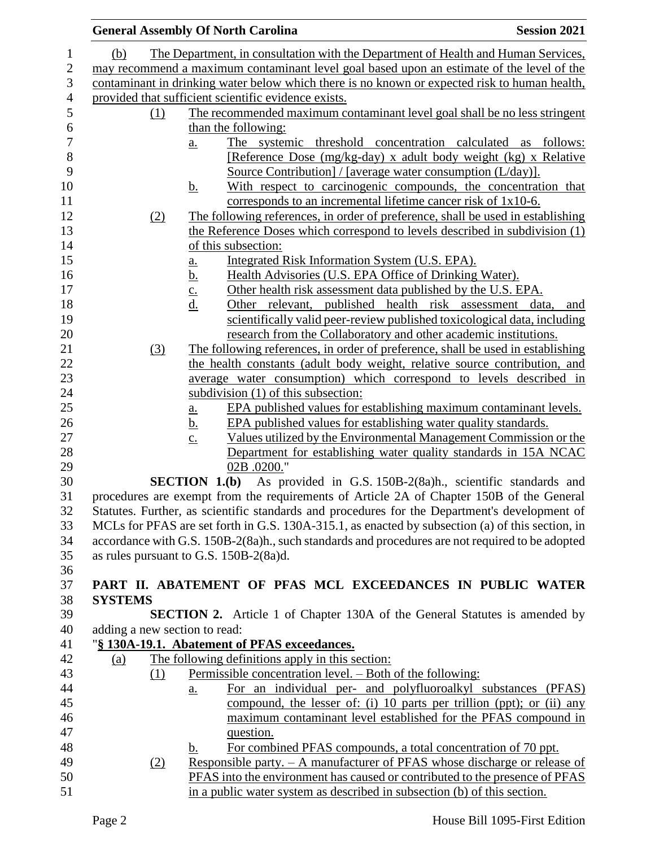|                                                                                                                                                                                           | <b>General Assembly Of North Carolina</b>                                                                                                | <b>Session 2021</b> |  |
|-------------------------------------------------------------------------------------------------------------------------------------------------------------------------------------------|------------------------------------------------------------------------------------------------------------------------------------------|---------------------|--|
| (b)                                                                                                                                                                                       | The Department, in consultation with the Department of Health and Human Services,                                                        |                     |  |
|                                                                                                                                                                                           | may recommend a maximum contaminant level goal based upon an estimate of the level of the                                                |                     |  |
|                                                                                                                                                                                           | contaminant in drinking water below which there is no known or expected risk to human health,                                            |                     |  |
|                                                                                                                                                                                           | provided that sufficient scientific evidence exists.                                                                                     |                     |  |
| <u>(1)</u>                                                                                                                                                                                | The recommended maximum contaminant level goal shall be no less stringent                                                                |                     |  |
|                                                                                                                                                                                           | than the following:                                                                                                                      |                     |  |
|                                                                                                                                                                                           | The systemic threshold concentration calculated as follows:<br>a.                                                                        |                     |  |
|                                                                                                                                                                                           | [Reference Dose (mg/kg-day) x adult body weight (kg) x Relative                                                                          |                     |  |
|                                                                                                                                                                                           | Source Contribution] / [average water consumption (L/day)].                                                                              |                     |  |
|                                                                                                                                                                                           | With respect to carcinogenic compounds, the concentration that<br><u>b.</u>                                                              |                     |  |
|                                                                                                                                                                                           | corresponds to an incremental lifetime cancer risk of 1x10-6.                                                                            |                     |  |
| (2)                                                                                                                                                                                       | The following references, in order of preference, shall be used in establishing                                                          |                     |  |
|                                                                                                                                                                                           | the Reference Doses which correspond to levels described in subdivision (1)                                                              |                     |  |
|                                                                                                                                                                                           | of this subsection:                                                                                                                      |                     |  |
|                                                                                                                                                                                           | Integrated Risk Information System (U.S. EPA).<br><u>a.</u><br>Health Advisories (U.S. EPA Office of Drinking Water).                    |                     |  |
|                                                                                                                                                                                           | Other health risk assessment data published by the U.S. EPA.                                                                             |                     |  |
|                                                                                                                                                                                           | $rac{\underline{b}}{\underline{c}}$ .<br>$rac{\underline{c}}{\underline{d}}$ .<br>Other relevant, published health risk assessment data, | and                 |  |
|                                                                                                                                                                                           | scientifically valid peer-review published toxicological data, including                                                                 |                     |  |
|                                                                                                                                                                                           | research from the Collaboratory and other academic institutions.                                                                         |                     |  |
| (3)                                                                                                                                                                                       | The following references, in order of preference, shall be used in establishing                                                          |                     |  |
|                                                                                                                                                                                           | the health constants (adult body weight, relative source contribution, and                                                               |                     |  |
|                                                                                                                                                                                           | average water consumption) which correspond to levels described in                                                                       |                     |  |
|                                                                                                                                                                                           | subdivision (1) of this subsection:                                                                                                      |                     |  |
|                                                                                                                                                                                           | EPA published values for establishing maximum contaminant levels.<br><u>a.</u>                                                           |                     |  |
|                                                                                                                                                                                           | EPA published values for establishing water quality standards.<br><u>b.</u>                                                              |                     |  |
|                                                                                                                                                                                           | Values utilized by the Environmental Management Commission or the<br>$\mathbf{C}$ .                                                      |                     |  |
|                                                                                                                                                                                           | Department for establishing water quality standards in 15A NCAC                                                                          |                     |  |
|                                                                                                                                                                                           | 02B .0200."                                                                                                                              |                     |  |
| <b>SECTION 1.(b)</b> As provided in G.S. 150B-2(8a)h., scientific standards and                                                                                                           |                                                                                                                                          |                     |  |
| procedures are exempt from the requirements of Article 2A of Chapter 150B of the General<br>Statutes. Further, as scientific standards and procedures for the Department's development of |                                                                                                                                          |                     |  |
|                                                                                                                                                                                           | MCLs for PFAS are set forth in G.S. 130A-315.1, as enacted by subsection (a) of this section, in                                         |                     |  |
|                                                                                                                                                                                           | accordance with G.S. 150B-2(8a)h., such standards and procedures are not required to be adopted                                          |                     |  |
|                                                                                                                                                                                           | as rules pursuant to G.S. 150B-2(8a)d.                                                                                                   |                     |  |
|                                                                                                                                                                                           |                                                                                                                                          |                     |  |
|                                                                                                                                                                                           | PART II. ABATEMENT OF PFAS MCL EXCEEDANCES IN PUBLIC WATER                                                                               |                     |  |
| <b>SYSTEMS</b>                                                                                                                                                                            |                                                                                                                                          |                     |  |
|                                                                                                                                                                                           | <b>SECTION 2.</b> Article 1 of Chapter 130A of the General Statutes is amended by                                                        |                     |  |
| adding a new section to read:                                                                                                                                                             |                                                                                                                                          |                     |  |
|                                                                                                                                                                                           | "§ 130A-19.1. Abatement of PFAS exceedances.                                                                                             |                     |  |
| (a)                                                                                                                                                                                       | The following definitions apply in this section:                                                                                         |                     |  |
| (1)                                                                                                                                                                                       | Permissible concentration level. – Both of the following:                                                                                |                     |  |
|                                                                                                                                                                                           | For an individual per- and polyfluoroalkyl substances (PFAS)<br>a.                                                                       |                     |  |
|                                                                                                                                                                                           | compound, the lesser of: (i) 10 parts per trillion (ppt); or (ii) any<br>maximum contaminant level established for the PFAS compound in  |                     |  |
|                                                                                                                                                                                           | question.                                                                                                                                |                     |  |
|                                                                                                                                                                                           | For combined PFAS compounds, a total concentration of 70 ppt.<br>$\mathbf b$ .                                                           |                     |  |
| (2)                                                                                                                                                                                       | Responsible party. $- A$ manufacturer of PFAS whose discharge or release of                                                              |                     |  |
|                                                                                                                                                                                           | PFAS into the environment has caused or contributed to the presence of PFAS                                                              |                     |  |
|                                                                                                                                                                                           | in a public water system as described in subsection (b) of this section.                                                                 |                     |  |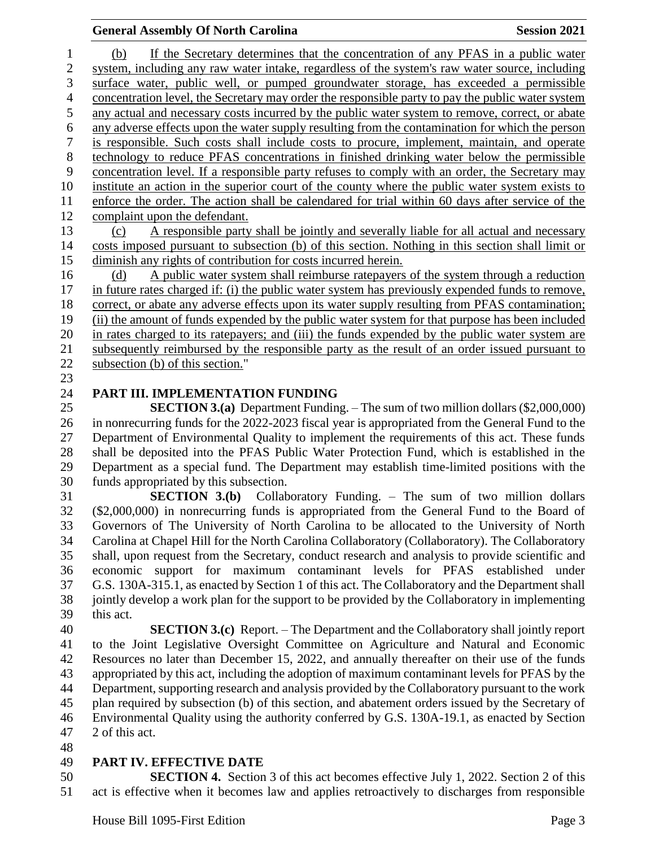#### **General Assembly Of North Carolina Session 2021**

 (b) If the Secretary determines that the concentration of any PFAS in a public water system, including any raw water intake, regardless of the system's raw water source, including surface water, public well, or pumped groundwater storage, has exceeded a permissible concentration level, the Secretary may order the responsible party to pay the public water system any actual and necessary costs incurred by the public water system to remove, correct, or abate any adverse effects upon the water supply resulting from the contamination for which the person is responsible. Such costs shall include costs to procure, implement, maintain, and operate technology to reduce PFAS concentrations in finished drinking water below the permissible concentration level. If a responsible party refuses to comply with an order, the Secretary may institute an action in the superior court of the county where the public water system exists to enforce the order. The action shall be calendared for trial within 60 days after service of the complaint upon the defendant. (c) A responsible party shall be jointly and severally liable for all actual and necessary costs imposed pursuant to subsection (b) of this section. Nothing in this section shall limit or diminish any rights of contribution for costs incurred herein.

 (d) A public water system shall reimburse ratepayers of the system through a reduction in future rates charged if: (i) the public water system has previously expended funds to remove, correct, or abate any adverse effects upon its water supply resulting from PFAS contamination; (ii) the amount of funds expended by the public water system for that purpose has been included in rates charged to its ratepayers; and (iii) the funds expended by the public water system are subsequently reimbursed by the responsible party as the result of an order issued pursuant to subsection (b) of this section."

## **PART III. IMPLEMENTATION FUNDING**

 **SECTION 3.(a)** Department Funding. – The sum of two million dollars (\$2,000,000) in nonrecurring funds for the 2022-2023 fiscal year is appropriated from the General Fund to the Department of Environmental Quality to implement the requirements of this act. These funds shall be deposited into the PFAS Public Water Protection Fund, which is established in the Department as a special fund. The Department may establish time-limited positions with the funds appropriated by this subsection.

 **SECTION 3.(b)** Collaboratory Funding. – The sum of two million dollars (\$2,000,000) in nonrecurring funds is appropriated from the General Fund to the Board of Governors of The University of North Carolina to be allocated to the University of North Carolina at Chapel Hill for the North Carolina Collaboratory (Collaboratory). The Collaboratory shall, upon request from the Secretary, conduct research and analysis to provide scientific and economic support for maximum contaminant levels for PFAS established under G.S. 130A-315.1, as enacted by Section 1 of this act. The Collaboratory and the Department shall jointly develop a work plan for the support to be provided by the Collaboratory in implementing this act.

 **SECTION 3.(c)** Report. – The Department and the Collaboratory shall jointly report to the Joint Legislative Oversight Committee on Agriculture and Natural and Economic Resources no later than December 15, 2022, and annually thereafter on their use of the funds appropriated by this act, including the adoption of maximum contaminant levels for PFAS by the Department, supporting research and analysis provided by the Collaboratory pursuant to the work plan required by subsection (b) of this section, and abatement orders issued by the Secretary of Environmental Quality using the authority conferred by G.S. 130A-19.1, as enacted by Section 2 of this act.

#### **PART IV. EFFECTIVE DATE**

 **SECTION 4.** Section 3 of this act becomes effective July 1, 2022. Section 2 of this act is effective when it becomes law and applies retroactively to discharges from responsible